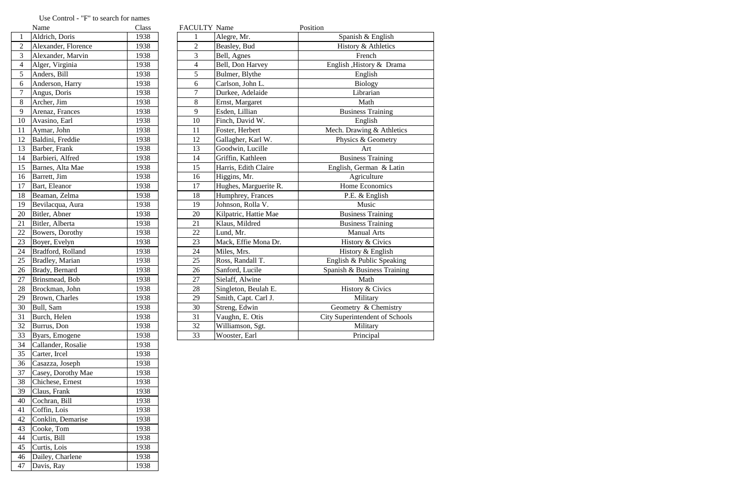|                 | Name                    | Class | <b>FACULTY Name</b> |                       | Position                       |
|-----------------|-------------------------|-------|---------------------|-----------------------|--------------------------------|
| $\mathbf{1}$    | Aldrich, Doris          | 1938  |                     | Alegre, Mr.           | Spanish & English              |
| $\overline{2}$  | Alexander, Florence     | 1938  | $\overline{2}$      | Beasley, Bud          | History & Athletics            |
| $\overline{3}$  | Alexander, Marvin       | 1938  | 3                   | Bell, Agnes           | French                         |
| $\overline{4}$  | Alger, Virginia         | 1938  | $\overline{4}$      | Bell, Don Harvey      | English , History & Drama      |
| 5               | Anders, Bill            | 1938  | 5                   | Bulmer, Blythe        | English                        |
| 6               | Anderson, Harry         | 1938  | 6                   | Carlson, John L.      | <b>Biology</b>                 |
| $\overline{7}$  | Angus, Doris            | 1938  | $\overline{7}$      | Durkee, Adelaide      | Librarian                      |
| 8               | Archer, Jim             | 1938  | 8                   | Ernst, Margaret       | Math                           |
| 9               | Arenaz, Frances         | 1938  | 9                   | Esden, Lillian        | <b>Business Training</b>       |
| $10\,$          | Avasino, Earl           | 1938  | 10                  | Finch, David W.       | English                        |
| 11              | Aymar, John             | 1938  | 11                  | Foster, Herbert       | Mech. Drawing & Athletics      |
| 12              | Baldini, Freddie        | 1938  | 12                  | Gallagher, Karl W.    | Physics & Geometry             |
| 13              | Barber, Frank           | 1938  | 13                  | Goodwin, Lucille      | Art                            |
| 14              | Barbieri, Alfred        | 1938  | 14                  | Griffin, Kathleen     | <b>Business Training</b>       |
| 15              | Barnes, Alta Mae        | 1938  | 15                  | Harris, Edith Claire  | English, German & Latin        |
| 16              | Barrett, Jim            | 1938  | 16                  | Higgins, Mr.          | Agriculture                    |
| $\overline{17}$ | Bart, Eleanor           | 1938  | 17                  | Hughes, Marguerite R. | Home Economics                 |
| 18              | Beaman, Zelma           | 1938  | 18                  | Humphrey, Frances     | P.E. & English                 |
| 19              | Bevilacqua, Aura        | 1938  | 19                  | Johnson, Rolla V.     | Music                          |
| 20              | Bitler, Abner           | 1938  | 20                  | Kilpatric, Hattie Mae | <b>Business Training</b>       |
| 21              | Bitler, Alberta         | 1938  | 21                  | Klaus, Mildred        | <b>Business Training</b>       |
| $\overline{22}$ | Bowers, Dorothy         | 1938  | 22                  | Lund, Mr.             | <b>Manual Arts</b>             |
| $\overline{23}$ | Boyer, Evelyn           | 1938  | 23                  | Mack, Effie Mona Dr.  | History & Civics               |
| $\overline{24}$ | Bradford, Rolland       | 1938  | 24                  | Miles, Mrs.           | History & English              |
| 25              | <b>Bradley</b> , Marian | 1938  | 25                  | Ross, Randall T.      | English & Public Speaking      |
| 26              | Brady, Bernard          | 1938  | 26                  | Sanford, Lucile       | Spanish & Business Training    |
| 27              | Brinsmead, Bob          | 1938  | 27                  | Sielaff, Alwine       | Math                           |
| 28              | Brockman, John          | 1938  | 28                  | Singleton, Beulah E.  | History & Civics               |
| 29              | Brown, Charles          | 1938  | 29                  | Smith, Capt. Carl J.  | Military                       |
| 30              | Bull, Sam               | 1938  | 30                  | Streng, Edwin         | Geometry & Chemistry           |
| 31              | Burch, Helen            | 1938  | 31                  | Vaughn, E. Otis       | City Superintendent of Schools |
| 32              | Burrus, Don             | 1938  | 32                  | Williamson, Sgt.      | Military                       |
| 33              | Byars, Emogene          | 1938  | 33                  | Wooster, Earl         | Principal                      |

|                | Name                | Class |
|----------------|---------------------|-------|
| $\mathbf{1}$   | Aldrich, Doris      | 1938  |
| $\overline{c}$ | Alexander, Florence | 1938  |
| 3              | Alexander, Marvin   | 1938  |
| 4              | Alger, Virginia     | 1938  |
| 5              | Anders, Bill        | 1938  |
| 6              | Anderson, Harry     | 1938  |
| $\overline{7}$ | Angus, Doris        | 1938  |
| 8              | Archer, Jim         | 1938  |
| 9              | Arenaz, Frances     | 1938  |
| 10             | Avasino, Earl       | 1938  |
| 11             | Aymar, John         | 1938  |
| 12             | Baldini, Freddie    | 1938  |
| 13             | Barber, Frank       | 1938  |
| 14             | Barbieri, Alfred    | 1938  |
| 15             | Barnes, Alta Mae    | 1938  |
| 16             | Barrett, Jim        | 1938  |
| 17             | Bart, Eleanor       | 1938  |
| 18             | Beaman, Zelma       | 1938  |
| 19             | Bevilacqua, Aura    | 1938  |
| 20             | Bitler, Abner       | 1938  |
| 21             | Bitler, Alberta     | 1938  |
| 22             | Bowers, Dorothy     | 1938  |
| 23             | Boyer, Evelyn       | 1938  |
| 24             | Bradford, Rolland   | 1938  |
| 25             | Bradley, Marian     | 1938  |
| 26             | Brady, Bernard      | 1938  |
| 27             | Brinsmead, Bob      | 1938  |
| 28             | Brockman, John      | 1938  |
| 29             | Brown, Charles      | 1938  |
| 30             | Bull, Sam           | 1938  |
| 31             | Burch, Helen        | 1938  |
| 32             | Burrus, Don         | 1938  |
| 33             | Byars, Emogene      | 1938  |
| 34             | Callander, Rosalie  | 1938  |
| 35             | Carter, Ircel       | 1938  |
| 36             | Casazza, Joseph     | 1938  |
| 37             | Casey, Dorothy Mae  | 1938  |
| 38             | Chichese, Ernest    | 1938  |
| 39             | Claus, Frank        | 1938  |
| 40             | Cochran, Bill       | 1938  |
| 41             | Coffin, Lois        | 1938  |
| 42             | Conklin, Demarise   | 1938  |
| 43             | Cooke, Tom          | 1938  |
| 44             | Curtis, Bill        | 1938  |
| 45             | Curtis, Lois        | 1938  |
| 46             | Dailey, Charlene    | 1938  |
| 47             | Davis, Ray          | 1938  |
|                |                     |       |

## Use Control - "F" to search for names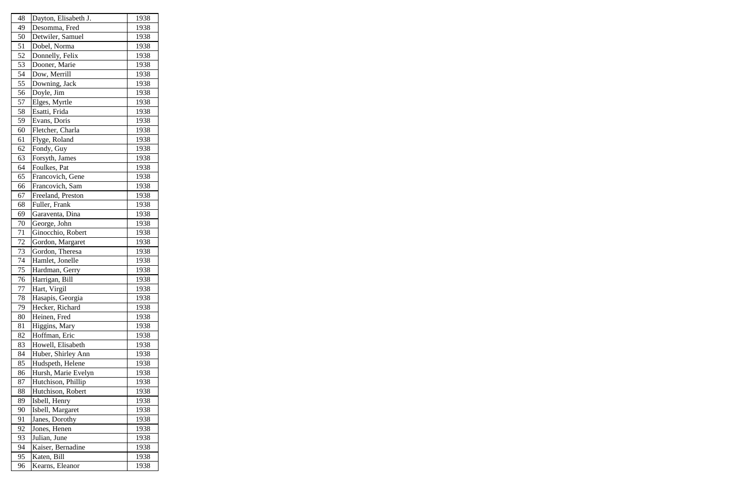| 48 | Dayton, Elisabeth J. | 1938 |
|----|----------------------|------|
| 49 | Desomma, Fred        | 1938 |
| 50 | Detwiler, Samuel     | 1938 |
| 51 | Dobel, Norma         | 1938 |
| 52 | Donnelly, Felix      | 1938 |
| 53 | Dooner, Marie        | 1938 |
| 54 | Dow, Merrill         | 1938 |
| 55 | Downing, Jack        | 1938 |
| 56 | Doyle, Jim           | 1938 |
| 57 | Elges, Myrtle        | 1938 |
| 58 | Esatti, Frida        | 1938 |
| 59 | Evans, Doris         | 1938 |
| 60 | Fletcher, Charla     | 1938 |
| 61 | Flyge, Roland        | 1938 |
| 62 | Fondy, Guy           | 1938 |
| 63 | Forsyth, James       | 1938 |
| 64 | Foulkes, Pat         | 1938 |
| 65 | Francovich, Gene     | 1938 |
| 66 | Francovich, Sam      | 1938 |
| 67 | Freeland, Preston    | 1938 |
| 68 | Fuller, Frank        | 1938 |
| 69 | Garaventa, Dina      | 1938 |
| 70 | George, John         | 1938 |
| 71 | Ginocchio, Robert    | 1938 |
| 72 | Gordon, Margaret     | 1938 |
| 73 | Gordon, Theresa      | 1938 |
| 74 | Hamlet, Jonelle      | 1938 |
| 75 | Hardman, Gerry       | 1938 |
| 76 | Harrigan, Bill       | 1938 |
| 77 | Hart, Virgil         | 1938 |
| 78 | Hasapis, Georgia     | 1938 |
| 79 | Hecker, Richard      | 1938 |
| 80 | Heinen, Fred         | 1938 |
| 81 | Higgins, Mary        | 1938 |
| 82 | Hoffman, Eric        | 1938 |
| 83 | Howell, Elisabeth    | 1938 |
| 84 | Huber, Shirley Ann   | 1938 |
| 85 | Hudspeth, Helene     | 1938 |
| 86 | Hursh, Marie Evelyn  | 1938 |
| 87 | Hutchison, Phillip   | 1938 |
| 88 | Hutchison, Robert    | 1938 |
| 89 | Isbell, Henry        | 1938 |
| 90 | Isbell, Margaret     | 1938 |
| 91 | Janes, Dorothy       | 1938 |
| 92 | Jones, Henen         | 1938 |
| 93 | Julian, June         | 1938 |
| 94 | Kaiser, Bernadine    | 1938 |
| 95 | Katen, Bill          | 1938 |
| 96 | Kearns, Eleanor      | 1938 |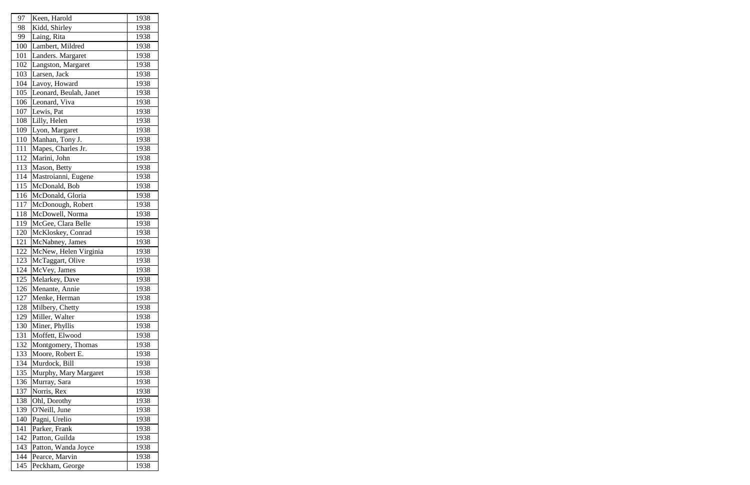| 97  | Keen, Harold           | 1938 |
|-----|------------------------|------|
| 98  | Kidd, Shirley          | 1938 |
| 99  | Laing, Rita            | 1938 |
| 100 | Lambert, Mildred       | 1938 |
| 101 | Landers. Margaret      | 1938 |
| 102 | Langston, Margaret     | 1938 |
| 103 | Larsen, Jack           | 1938 |
| 104 | Lavoy, Howard          | 1938 |
| 105 | Leonard, Beulah, Janet | 1938 |
| 106 | Leonard, Viva          | 1938 |
| 107 | Lewis, Pat             | 1938 |
| 108 | Lilly, Helen           | 1938 |
| 109 | Lyon, Margaret         | 1938 |
| 110 | Manhan, Tony J.        | 1938 |
| 111 | Mapes, Charles Jr.     | 1938 |
| 112 | Marini, John           | 1938 |
| 113 | Mason, Betty           | 1938 |
| 114 | Mastroianni, Eugene    | 1938 |
| 115 | McDonald, Bob          | 1938 |
| 116 | McDonald, Gloria       | 1938 |
| 117 | McDonough, Robert      | 1938 |
| 118 | McDowell, Norma        | 1938 |
| 119 | McGee, Clara Belle     | 1938 |
| 120 | McKloskey, Conrad      | 1938 |
| 121 | McNabney, James        | 1938 |
| 122 | McNew, Helen Virginia  | 1938 |
| 123 | McTaggart, Olive       | 1938 |
| 124 | McVey, James           | 1938 |
| 125 | Melarkey, Dave         | 1938 |
| 126 | Menante, Annie         | 1938 |
| 127 | Menke, Herman          | 1938 |
| 128 | Milbery, Chetty        | 1938 |
| 129 | Miller, Walter         | 1938 |
| 130 | Miner, Phyllis         | 1938 |
| 131 | Moffett, Elwood        | 1938 |
| 132 | Montgomery, Thomas     | 1938 |
| 133 | Moore, Robert E.       | 1938 |
| 134 | Murdock, Bill          | 1938 |
| 135 | Murphy, Mary Margaret  | 1938 |
| 136 | Murray, Sara           | 1938 |
| 137 | Norris, Rex            | 1938 |
| 138 | Ohl, Dorothy           | 1938 |
| 139 | O'Neill, June          | 1938 |
| 140 | Pagni, Urelio          | 1938 |
| 141 | Parker, Frank          | 1938 |
| 142 | Patton, Guilda         | 1938 |
| 143 | Patton, Wanda Joyce    | 1938 |
| 144 | Pearce, Marvin         | 1938 |
| 145 | Peckham, George        | 1938 |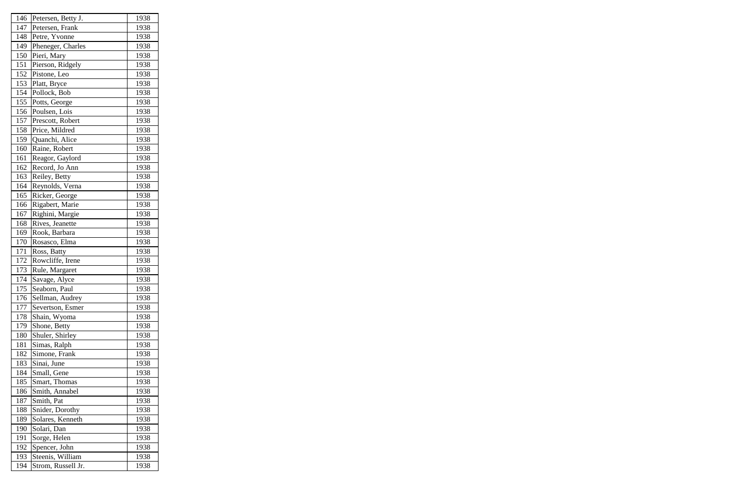| 146 | Petersen, Betty J. | 1938 |
|-----|--------------------|------|
| 147 | Petersen, Frank    | 1938 |
| 148 | Petre, Yvonne      | 1938 |
| 149 | Pheneger, Charles  | 1938 |
| 150 | Pieri, Mary        | 1938 |
| 151 | Pierson, Ridgely   | 1938 |
| 152 | Pistone, Leo       | 1938 |
| 153 | Platt, Bryce       | 1938 |
| 154 | Pollock, Bob       | 1938 |
| 155 | Potts, George      | 1938 |
| 156 | Poulsen, Lois      | 1938 |
| 157 | Prescott, Robert   | 1938 |
| 158 | Price, Mildred     | 1938 |
| 159 | Quanchi, Alice     | 1938 |
| 160 | Raine, Robert      | 1938 |
| 161 | Reagor, Gaylord    | 1938 |
| 162 | Record, Jo Ann     | 1938 |
| 163 | Reiley, Betty      | 1938 |
| 164 | Reynolds, Verna    | 1938 |
| 165 | Ricker, George     | 1938 |
| 166 | Rigabert, Marie    | 1938 |
| 167 | Righini, Margie    | 1938 |
| 168 | Rives, Jeanette    | 1938 |
| 169 | Rook, Barbara      | 1938 |
| 170 | Rosasco, Elma      | 1938 |
| 171 | Ross, Batty        | 1938 |
| 172 | Rowcliffe, Irene   | 1938 |
| 173 | Rule, Margaret     | 1938 |
| 174 | Savage, Alyce      | 1938 |
| 175 | Seaborn, Paul      | 1938 |
| 176 | Sellman, Audrey    | 1938 |
| 177 | Severtson, Esmer   | 1938 |
| 178 | Shain, Wyoma       | 1938 |
| 179 | Shone, Betty       | 1938 |
| 180 | Shuler, Shirley    | 1938 |
| 181 | Simas, Ralph       | 1938 |
| 182 | Simone, Frank      | 1938 |
| 183 | Sinai, June        | 1938 |
| 184 | Small, Gene        | 1938 |
| 185 | Smart, Thomas      | 1938 |
| 186 | Smith, Annabel     | 1938 |
| 187 | Smith, Pat         | 1938 |
| 188 | Snider, Dorothy    | 1938 |
| 189 | Solares, Kenneth   | 1938 |
| 190 | Solari, Dan        | 1938 |
| 191 | Sorge, Helen       | 1938 |
| 192 | Spencer, John      | 1938 |
| 193 | Steenis, William   | 1938 |
| 194 | Strom, Russell Jr. | 1938 |